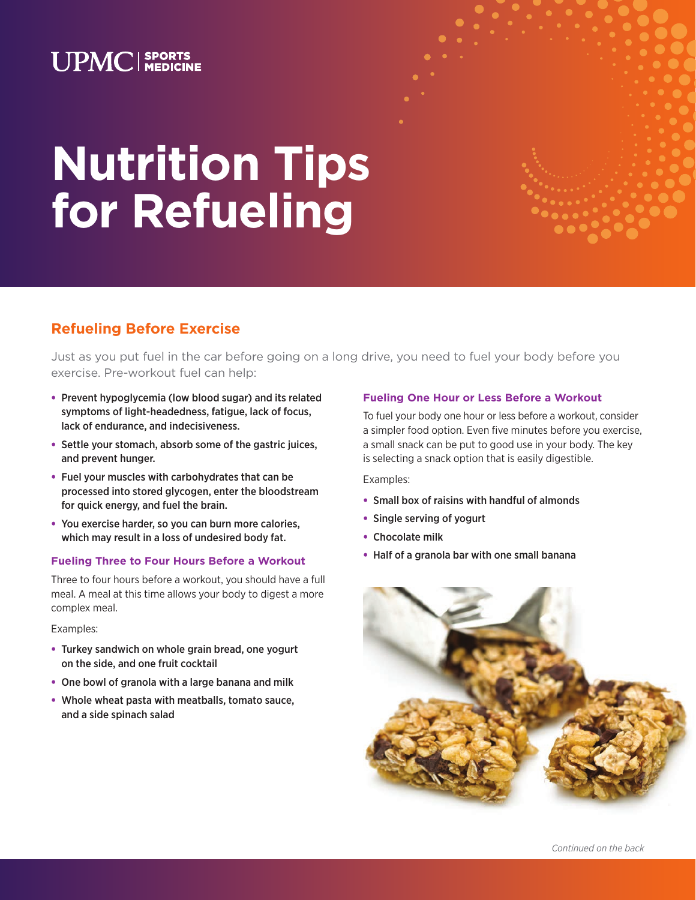### **UPMC** SPORTS

# **Nutrition Tips for Refueling**

### **Refueling Before Exercise**

Just as you put fuel in the car before going on a long drive, you need to fuel your body before you exercise. Pre-workout fuel can help:

- Prevent hypoglycemia (low blood sugar) and its related symptoms of light-headedness, fatigue, lack of focus, lack of endurance, and indecisiveness.
- Settle your stomach, absorb some of the gastric juices, and prevent hunger.
- Fuel your muscles with carbohydrates that can be processed into stored glycogen, enter the bloodstream for quick energy, and fuel the brain.
- You exercise harder, so you can burn more calories, which may result in a loss of undesired body fat.

#### **Fueling Three to Four Hours Before a Workout**

Three to four hours before a workout, you should have a full meal. A meal at this time allows your body to digest a more complex meal.

Examples:

- Turkey sandwich on whole grain bread, one yogurt on the side, and one fruit cocktail
- One bowl of granola with a large banana and milk
- Whole wheat pasta with meatballs, tomato sauce, and a side spinach salad

### **Fueling One Hour or Less Before a Workout**

To fuel your body one hour or less before a workout, consider a simpler food option. Even five minutes before you exercise, a small snack can be put to good use in your body. The key is selecting a snack option that is easily digestible.

Examples:

- Small box of raisins with handful of almonds
- Single serving of yogurt
- Chocolate milk
- Half of a granola bar with one small banana